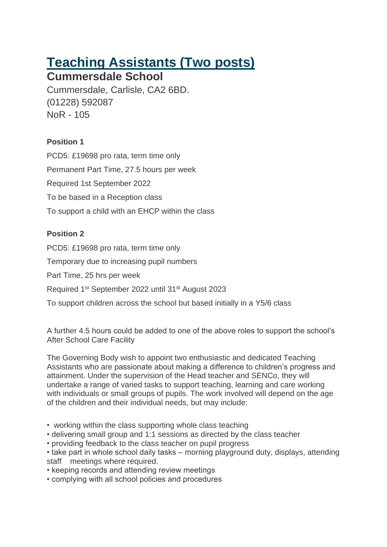# **Teaching Assistants (Two posts)**

## **Cummersdale School**

Cummersdale, Carlisle, CA2 6BD. (01228) 592087 NoR - 105

#### **Position 1**

PCD5: £19698 pro rata, term time only Permanent Part Time, 27.5 hours per week Required 1st September 2022 To be based in a Reception class To support a child with an EHCP within the class

### **Position 2**

PCD5: £19698 pro rata, term time only

Temporary due to increasing pupil numbers

Part Time, 25 hrs per week

Required 1<sup>st</sup> September 2022 until 31<sup>st</sup> August 2023

To support children across the school but based initially in a Y5/6 class

A further 4.5 hours could be added to one of the above roles to support the school's After School Care Facility

The Governing Body wish to appoint two enthusiastic and dedicated Teaching Assistants who are passionate about making a difference to children's progress and attainment. Under the supervision of the Head teacher and SENCo, they will undertake a range of varied tasks to support teaching, learning and care working with individuals or small groups of pupils. The work involved will depend on the age of the children and their individual needs, but may include:

- working within the class supporting whole class teaching
- delivering small group and 1:1 sessions as directed by the class teacher
- providing feedback to the class teacher on pupil progress
- take part in whole school daily tasks morning playground duty, displays, attending staff meetings where required.
- keeping records and attending review meetings
- complying with all school policies and procedures